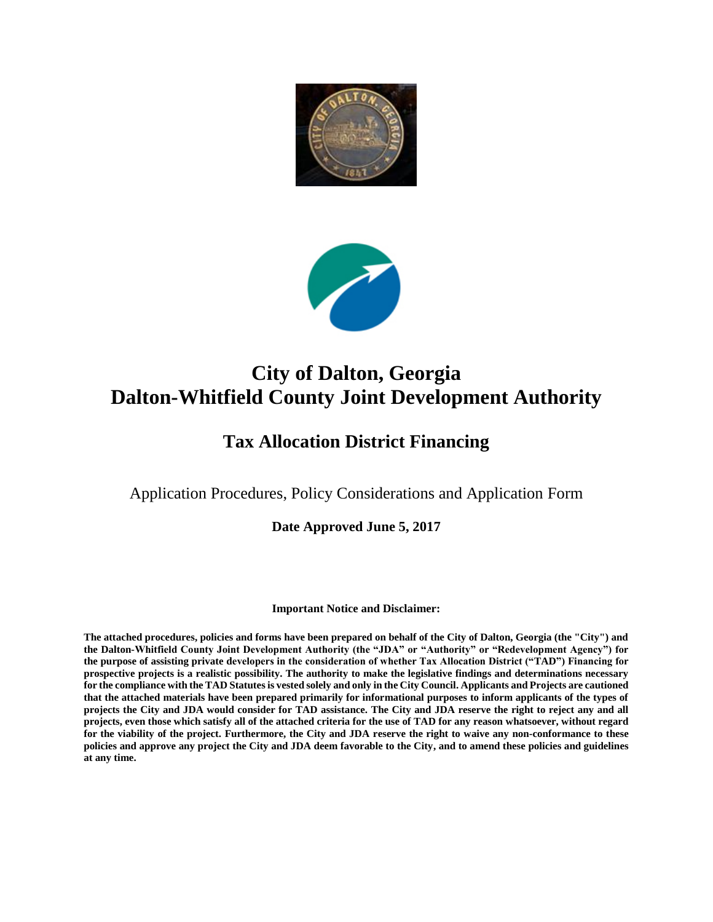# **City of Dalton, Georgia Dalton-Whitfield County Joint Development Authority**

## **Tax Allocation District Financing**

Application Procedures, Policy Considerations and Application Form

**Date Approved June 5, 2017** 

#### **Important Notice and Disclaimer:**

**The attached procedures, policies and forms have been prepared on behalf of the City of Dalton, Georgia (the "City") and the Dalton-Whitfield County Joint Development Authority (the "JDA" or "Authority" or "Redevelopment Agency") for the purpose of assisting private developers in the consideration of whether Tax Allocation District ("TAD") Financing for prospective projects is a realistic possibility. The authority to make the legislative findings and determinations necessary for the compliance with the TAD Statutes is vested solely and only in the City Council. Applicants and Projects are cautioned that the attached materials have been prepared primarily for informational purposes to inform applicants of the types of projects the City and JDA would consider for TAD assistance. The City and JDA reserve the right to reject any and all projects, even those which satisfy all of the attached criteria for the use of TAD for any reason whatsoever, without regard for the viability of the project. Furthermore, the City and JDA reserve the right to waive any non-conformance to these policies and approve any project the City and JDA deem favorable to the City, and to amend these policies and guidelines at any time.**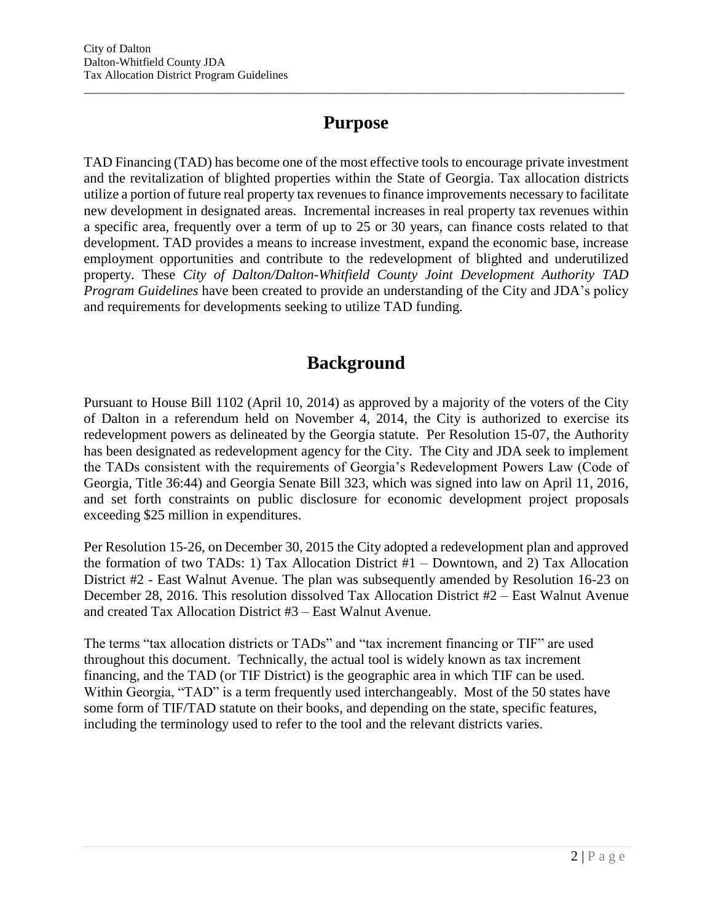# **Purpose**

 $\overline{a}$  , and the state of the state of the state of the state of the state of the state of the state of the state of the state of the state of the state of the state of the state of the state of the state of the state o

TAD Financing (TAD) has become one of the most effective tools to encourage private investment and the revitalization of blighted properties within the State of Georgia. Tax allocation districts utilize a portion of future real property tax revenues to finance improvements necessary to facilitate new development in designated areas. Incremental increases in real property tax revenues within a specific area, frequently over a term of up to 25 or 30 years, can finance costs related to that development. TAD provides a means to increase investment, expand the economic base, increase employment opportunities and contribute to the redevelopment of blighted and underutilized property. These *City of Dalton/Dalton-Whitfield County Joint Development Authority TAD Program Guidelines* have been created to provide an understanding of the City and JDA's policy and requirements for developments seeking to utilize TAD funding.

# **Background**

Pursuant to House Bill 1102 (April 10, 2014) as approved by a majority of the voters of the City of Dalton in a referendum held on November 4, 2014, the City is authorized to exercise its redevelopment powers as delineated by the Georgia statute. Per Resolution 15-07, the Authority has been designated as redevelopment agency for the City. The City and JDA seek to implement the TADs consistent with the requirements of Georgia's Redevelopment Powers Law (Code of Georgia, Title 36:44) and Georgia Senate Bill 323, which was signed into law on April 11, 2016, and set forth constraints on public disclosure for economic development project proposals exceeding \$25 million in expenditures.

Per Resolution 15-26, on December 30, 2015 the City adopted a redevelopment plan and approved the formation of two TADs: 1) Tax Allocation District #1 – Downtown, and 2) Tax Allocation District #2 - East Walnut Avenue. The plan was subsequently amended by Resolution 16-23 on December 28, 2016. This resolution dissolved Tax Allocation District #2 – East Walnut Avenue and created Tax Allocation District #3 – East Walnut Avenue.

The terms "tax allocation districts or TADs" and "tax increment financing or TIF" are used throughout this document. Technically, the actual tool is widely known as tax increment financing, and the TAD (or TIF District) is the geographic area in which TIF can be used. Within Georgia, "TAD" is a term frequently used interchangeably. Most of the 50 states have some form of TIF/TAD statute on their books, and depending on the state, specific features, including the terminology used to refer to the tool and the relevant districts varies.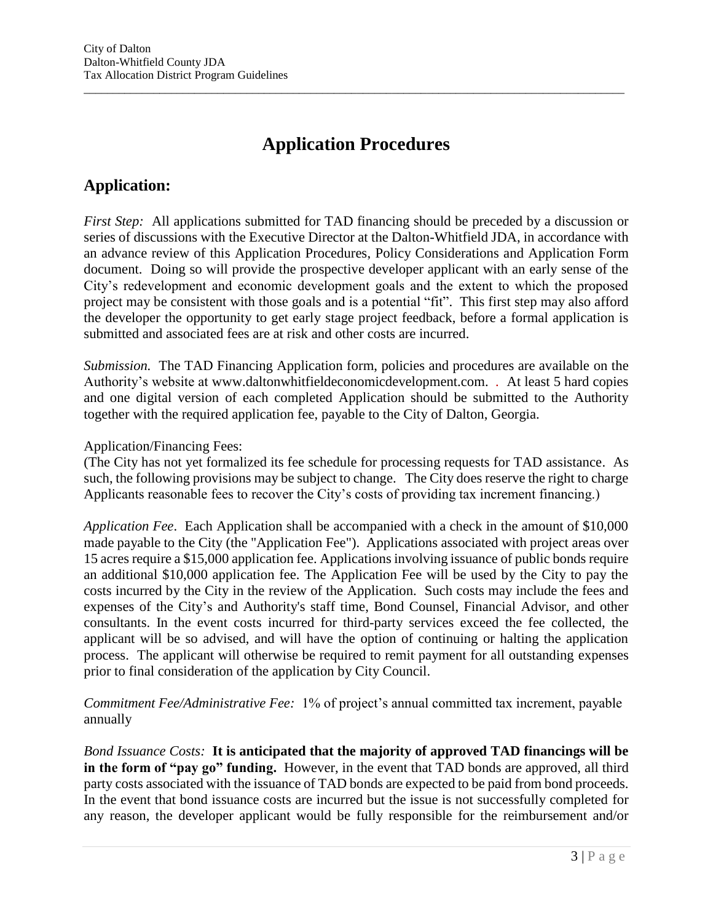# **Application Procedures**

 $\overline{a}$  , and the state of the state of the state of the state of the state of the state of the state of the state of the state of the state of the state of the state of the state of the state of the state of the state o

# **Application:**

*First Step:* All applications submitted for TAD financing should be preceded by a discussion or series of discussions with the Executive Director at the Dalton-Whitfield JDA, in accordance with an advance review of this Application Procedures, Policy Considerations and Application Form document. Doing so will provide the prospective developer applicant with an early sense of the City's redevelopment and economic development goals and the extent to which the proposed project may be consistent with those goals and is a potential "fit". This first step may also afford the developer the opportunity to get early stage project feedback, before a formal application is submitted and associated fees are at risk and other costs are incurred.

*Submission.* The TAD Financing Application form, policies and procedures are available on the Authority's website at www.daltonwhitfieldeconomicdevelopment.com. *.* At least 5 hard copies and one digital version of each completed Application should be submitted to the Authority together with the required application fee, payable to the City of Dalton, Georgia.

#### Application/Financing Fees:

(The City has not yet formalized its fee schedule for processing requests for TAD assistance. As such, the following provisions may be subject to change. The City does reserve the right to charge Applicants reasonable fees to recover the City's costs of providing tax increment financing.)

*Application Fee*. Each Application shall be accompanied with a check in the amount of \$10,000 made payable to the City (the "Application Fee"). Applications associated with project areas over 15 acres require a \$15,000 application fee. Applications involving issuance of public bonds require an additional \$10,000 application fee. The Application Fee will be used by the City to pay the costs incurred by the City in the review of the Application. Such costs may include the fees and expenses of the City's and Authority's staff time, Bond Counsel, Financial Advisor, and other consultants. In the event costs incurred for third-party services exceed the fee collected, the applicant will be so advised, and will have the option of continuing or halting the application process. The applicant will otherwise be required to remit payment for all outstanding expenses prior to final consideration of the application by City Council.

*Commitment Fee/Administrative Fee:* 1% of project's annual committed tax increment, payable annually

*Bond Issuance Costs:* **It is anticipated that the majority of approved TAD financings will be in the form of "pay go" funding.** However, in the event that TAD bonds are approved, all third party costs associated with the issuance of TAD bonds are expected to be paid from bond proceeds. In the event that bond issuance costs are incurred but the issue is not successfully completed for any reason, the developer applicant would be fully responsible for the reimbursement and/or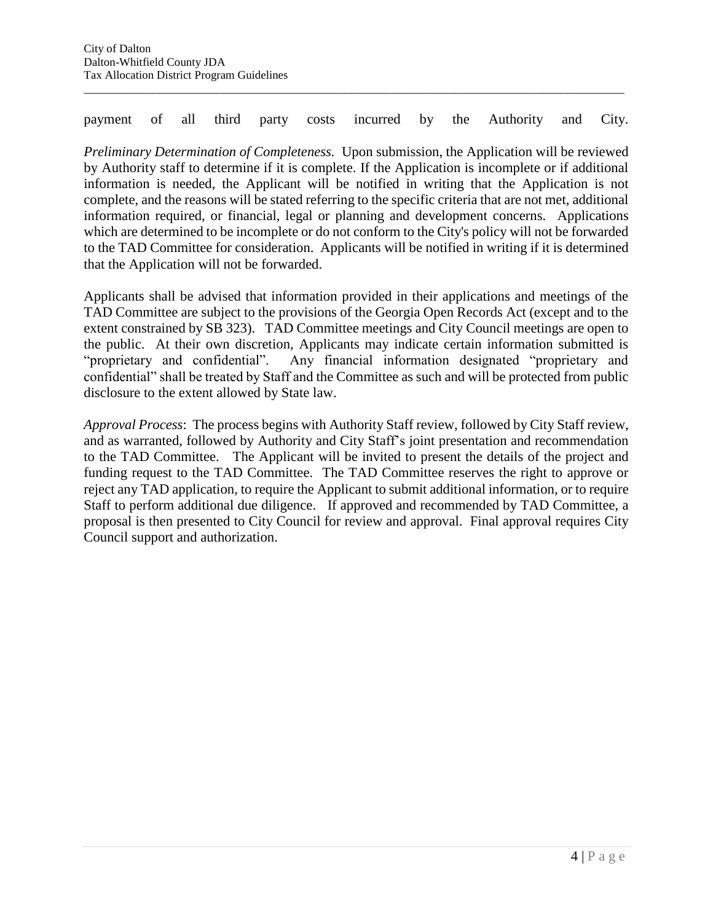payment of all third party costs incurred by the Authority and City.

 $\overline{a}$  , and the state of the state of the state of the state of the state of the state of the state of the state of the state of the state of the state of the state of the state of the state of the state of the state o

*Preliminary Determination of Completeness.* Upon submission, the Application will be reviewed by Authority staff to determine if it is complete. If the Application is incomplete or if additional information is needed, the Applicant will be notified in writing that the Application is not complete, and the reasons will be stated referring to the specific criteria that are not met, additional information required, or financial, legal or planning and development concerns. Applications which are determined to be incomplete or do not conform to the City's policy will not be forwarded to the TAD Committee for consideration. Applicants will be notified in writing if it is determined that the Application will not be forwarded.

Applicants shall be advised that information provided in their applications and meetings of the TAD Committee are subject to the provisions of the Georgia Open Records Act (except and to the extent constrained by SB 323). TAD Committee meetings and City Council meetings are open to the public. At their own discretion, Applicants may indicate certain information submitted is "proprietary and confidential". Any financial information designated "proprietary and confidential" shall be treated by Staff and the Committee as such and will be protected from public disclosure to the extent allowed by State law.

*Approval Process*: The process begins with Authority Staff review, followed by City Staff review, and as warranted, followed by Authority and City Staff's joint presentation and recommendation to the TAD Committee. The Applicant will be invited to present the details of the project and funding request to the TAD Committee. The TAD Committee reserves the right to approve or reject any TAD application, to require the Applicant to submit additional information, or to require Staff to perform additional due diligence. If approved and recommended by TAD Committee, a proposal is then presented to City Council for review and approval. Final approval requires City Council support and authorization.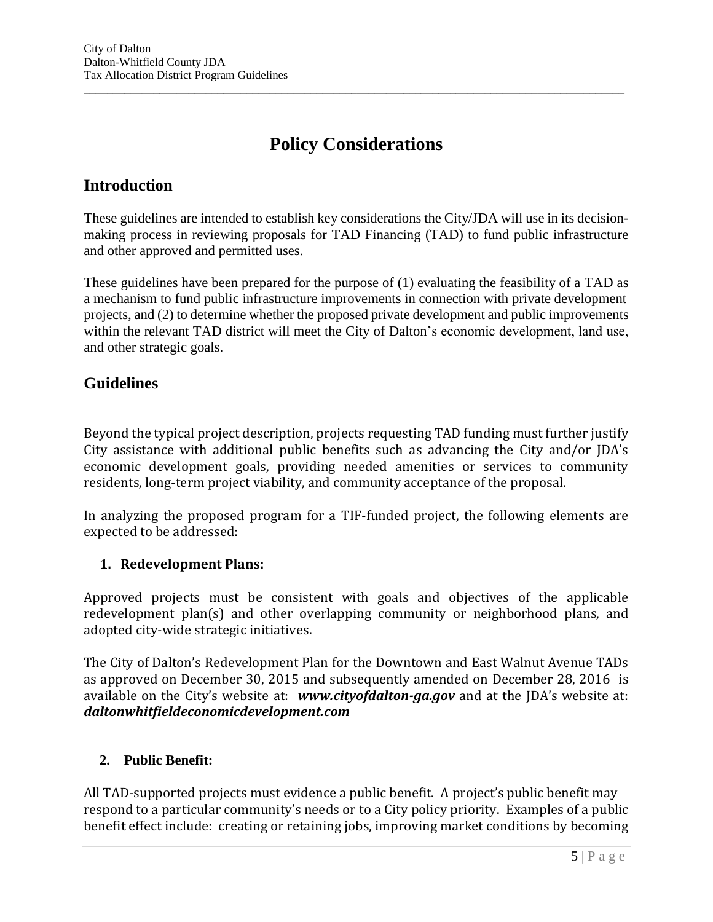# **Policy Considerations**

 $\overline{a}$  , and the state of the state of the state of the state of the state of the state of the state of the state of the state of the state of the state of the state of the state of the state of the state of the state o

## **Introduction**

These guidelines are intended to establish key considerations the City/JDA will use in its decisionmaking process in reviewing proposals for TAD Financing (TAD) to fund public infrastructure and other approved and permitted uses.

These guidelines have been prepared for the purpose of (1) evaluating the feasibility of a TAD as a mechanism to fund public infrastructure improvements in connection with private development projects, and (2) to determine whether the proposed private development and public improvements within the relevant TAD district will meet the City of Dalton's economic development, land use, and other strategic goals.

## **Guidelines**

Beyond the typical project description, projects requesting TAD funding must further justify City assistance with additional public benefits such as advancing the City and/or JDA's economic development goals, providing needed amenities or services to community residents, long-term project viability, and community acceptance of the proposal.

In analyzing the proposed program for a TIF-funded project, the following elements are expected to be addressed:

## **1. Redevelopment Plans:**

Approved projects must be consistent with goals and objectives of the applicable redevelopment plan(s) and other overlapping community or neighborhood plans, and adopted city-wide strategic initiatives.

The City of Dalton's Redevelopment Plan for the Downtown and East Walnut Avenue TADs as approved on December 30, 2015 and subsequently amended on December 28, 2016 is available on the City's website at: *www.cityofdalton-ga.gov* and at the JDA's website at: *daltonwhitfieldeconomicdevelopment.com*

#### **2. Public Benefit:**

All TAD-supported projects must evidence a public benefit. A project's public benefit may respond to a particular community's needs or to a City policy priority. Examples of a public benefit effect include: creating or retaining jobs, improving market conditions by becoming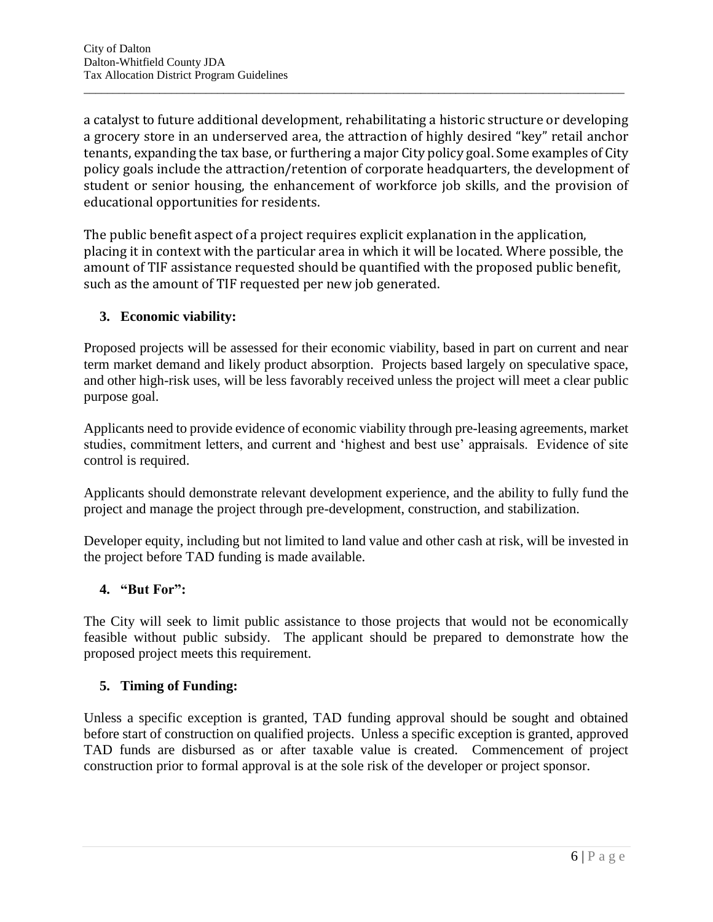a catalyst to future additional development, rehabilitating a historic structure or developing a grocery store in an underserved area, the attraction of highly desired "key" retail anchor tenants, expanding the tax base, or furthering a major City policy goal. Some examples of City policy goals include the attraction/retention of corporate headquarters, the development of student or senior housing, the enhancement of workforce job skills, and the provision of educational opportunities for residents.

 $\overline{a}$  , and the state of the state of the state of the state of the state of the state of the state of the state of the state of the state of the state of the state of the state of the state of the state of the state o

The public benefit aspect of a project requires explicit explanation in the application, placing it in context with the particular area in which it will be located. Where possible, the amount of TIF assistance requested should be quantified with the proposed public benefit, such as the amount of TIF requested per new job generated.

### **3. Economic viability:**

Proposed projects will be assessed for their economic viability, based in part on current and near term market demand and likely product absorption. Projects based largely on speculative space, and other high-risk uses, will be less favorably received unless the project will meet a clear public purpose goal.

Applicants need to provide evidence of economic viability through pre-leasing agreements, market studies, commitment letters, and current and 'highest and best use' appraisals. Evidence of site control is required.

Applicants should demonstrate relevant development experience, and the ability to fully fund the project and manage the project through pre-development, construction, and stabilization.

Developer equity, including but not limited to land value and other cash at risk, will be invested in the project before TAD funding is made available.

#### **4. "But For":**

The City will seek to limit public assistance to those projects that would not be economically feasible without public subsidy. The applicant should be prepared to demonstrate how the proposed project meets this requirement.

## **5. Timing of Funding:**

Unless a specific exception is granted, TAD funding approval should be sought and obtained before start of construction on qualified projects. Unless a specific exception is granted, approved TAD funds are disbursed as or after taxable value is created. Commencement of project construction prior to formal approval is at the sole risk of the developer or project sponsor.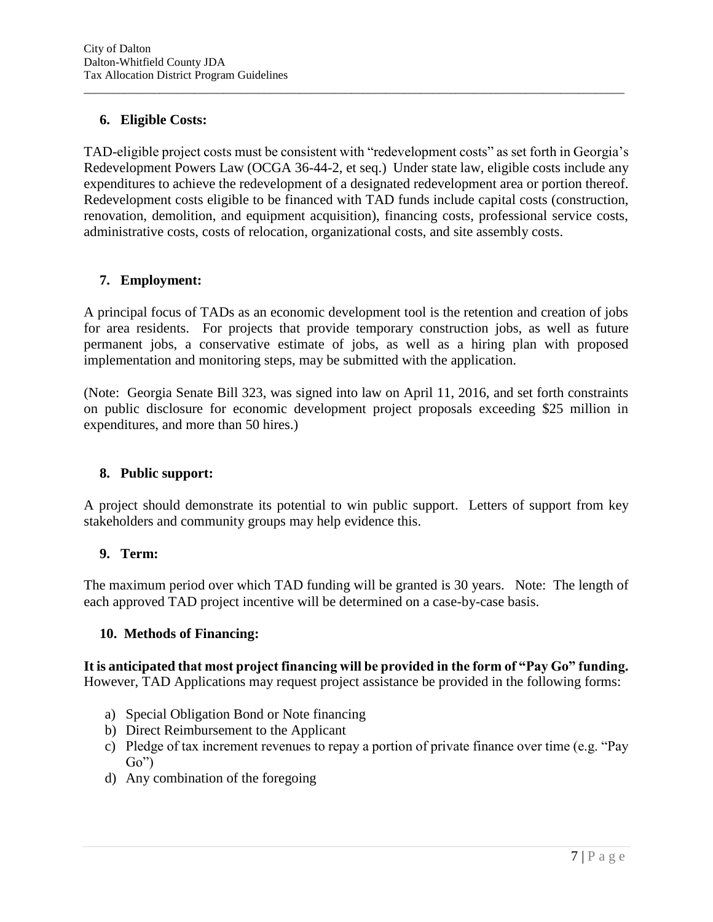### **6. Eligible Costs:**

TAD-eligible project costs must be consistent with "redevelopment costs" as set forth in Georgia's Redevelopment Powers Law (OCGA 36-44-2, et seq.) Under state law, eligible costs include any expenditures to achieve the redevelopment of a designated redevelopment area or portion thereof. Redevelopment costs eligible to be financed with TAD funds include capital costs (construction, renovation, demolition, and equipment acquisition), financing costs, professional service costs, administrative costs, costs of relocation, organizational costs, and site assembly costs.

 $\overline{a}$  , and the state of the state of the state of the state of the state of the state of the state of the state of the state of the state of the state of the state of the state of the state of the state of the state o

#### **7. Employment:**

A principal focus of TADs as an economic development tool is the retention and creation of jobs for area residents. For projects that provide temporary construction jobs, as well as future permanent jobs, a conservative estimate of jobs, as well as a hiring plan with proposed implementation and monitoring steps, may be submitted with the application.

(Note: Georgia Senate Bill 323, was signed into law on April 11, 2016, and set forth constraints on public disclosure for economic development project proposals exceeding \$25 million in expenditures, and more than 50 hires.)

#### **8. Public support:**

A project should demonstrate its potential to win public support. Letters of support from key stakeholders and community groups may help evidence this.

#### **9. Term:**

The maximum period over which TAD funding will be granted is 30 years. Note: The length of each approved TAD project incentive will be determined on a case-by-case basis.

#### **10. Methods of Financing:**

**It is anticipated that most project financing will be provided in the form of "Pay Go" funding.**  However, TAD Applications may request project assistance be provided in the following forms:

- a) Special Obligation Bond or Note financing
- b) Direct Reimbursement to the Applicant
- c) Pledge of tax increment revenues to repay a portion of private finance over time (e.g. "Pay Go")
- d) Any combination of the foregoing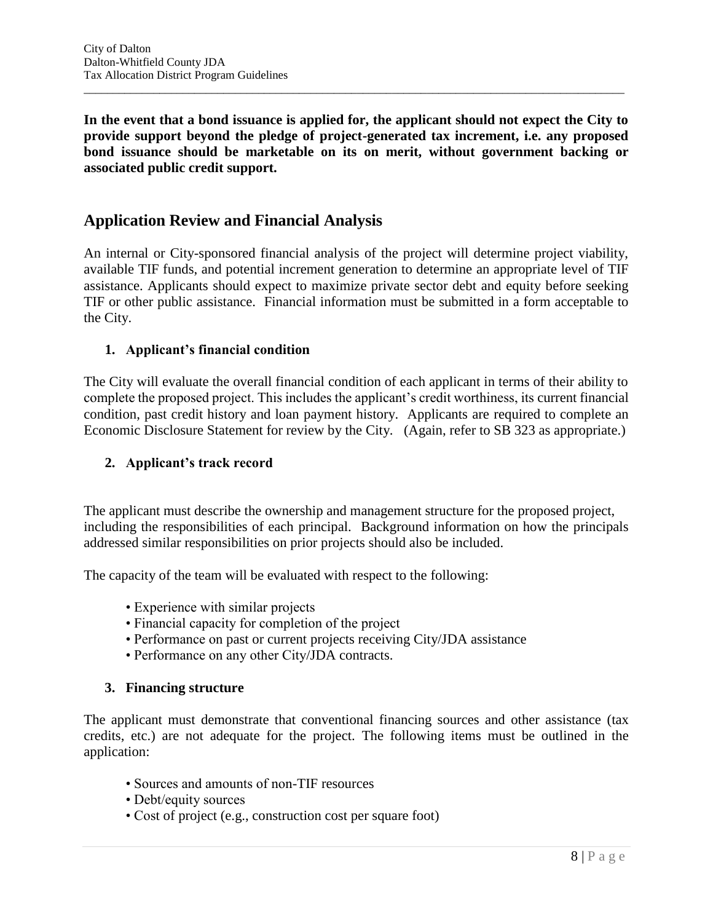**In the event that a bond issuance is applied for, the applicant should not expect the City to provide support beyond the pledge of project-generated tax increment, i.e. any proposed bond issuance should be marketable on its on merit, without government backing or associated public credit support.** 

 $\overline{a}$  , and the state of the state of the state of the state of the state of the state of the state of the state of the state of the state of the state of the state of the state of the state of the state of the state o

## **Application Review and Financial Analysis**

An internal or City-sponsored financial analysis of the project will determine project viability, available TIF funds, and potential increment generation to determine an appropriate level of TIF assistance. Applicants should expect to maximize private sector debt and equity before seeking TIF or other public assistance. Financial information must be submitted in a form acceptable to the City.

#### **1. Applicant's financial condition**

The City will evaluate the overall financial condition of each applicant in terms of their ability to complete the proposed project. This includes the applicant's credit worthiness, its current financial condition, past credit history and loan payment history. Applicants are required to complete an Economic Disclosure Statement for review by the City. (Again, refer to SB 323 as appropriate.)

#### **2. Applicant's track record**

The applicant must describe the ownership and management structure for the proposed project, including the responsibilities of each principal. Background information on how the principals addressed similar responsibilities on prior projects should also be included.

The capacity of the team will be evaluated with respect to the following:

- Experience with similar projects
- Financial capacity for completion of the project
- Performance on past or current projects receiving City/JDA assistance
- Performance on any other City/JDA contracts.

#### **3. Financing structure**

The applicant must demonstrate that conventional financing sources and other assistance (tax credits, etc.) are not adequate for the project. The following items must be outlined in the application:

- Sources and amounts of non-TIF resources
- Debt/equity sources
- Cost of project (e.g., construction cost per square foot)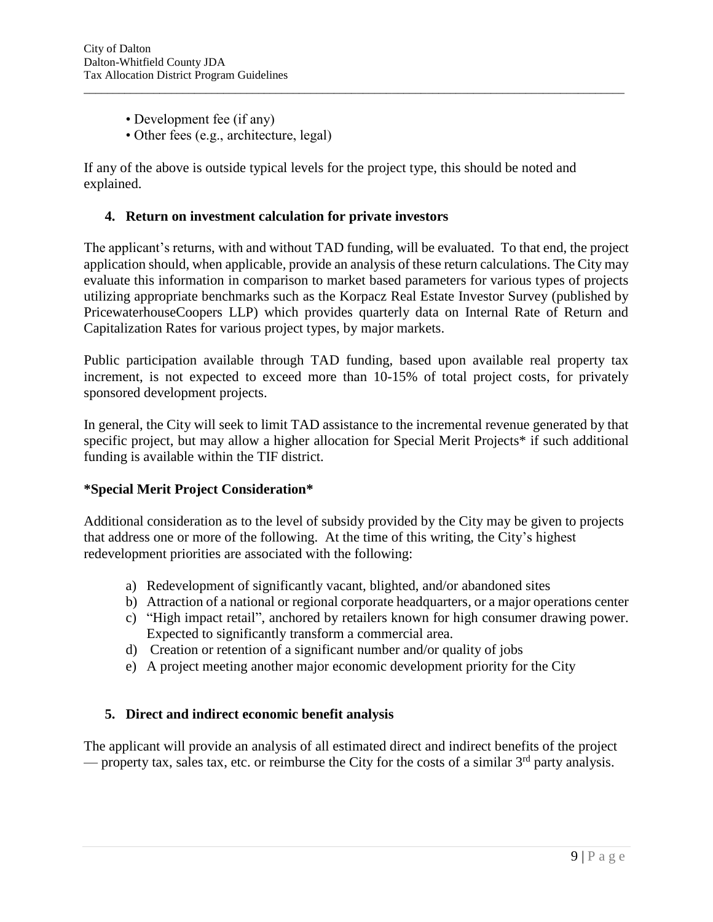- Development fee (if any)
- Other fees (e.g., architecture, legal)

If any of the above is outside typical levels for the project type, this should be noted and explained.

#### **4. Return on investment calculation for private investors**

The applicant's returns, with and without TAD funding, will be evaluated. To that end, the project application should, when applicable, provide an analysis of these return calculations. The City may evaluate this information in comparison to market based parameters for various types of projects utilizing appropriate benchmarks such as the Korpacz Real Estate Investor Survey (published by PricewaterhouseCoopers LLP) which provides quarterly data on Internal Rate of Return and Capitalization Rates for various project types, by major markets.

 $\overline{a}$  , and the state of the state of the state of the state of the state of the state of the state of the state of the state of the state of the state of the state of the state of the state of the state of the state o

Public participation available through TAD funding, based upon available real property tax increment, is not expected to exceed more than 10-15% of total project costs, for privately sponsored development projects.

In general, the City will seek to limit TAD assistance to the incremental revenue generated by that specific project, but may allow a higher allocation for Special Merit Projects\* if such additional funding is available within the TIF district.

#### **\*Special Merit Project Consideration\***

Additional consideration as to the level of subsidy provided by the City may be given to projects that address one or more of the following. At the time of this writing, the City's highest redevelopment priorities are associated with the following:

- a) Redevelopment of significantly vacant, blighted, and/or abandoned sites
- b) Attraction of a national or regional corporate headquarters, or a major operations center
- c) "High impact retail", anchored by retailers known for high consumer drawing power. Expected to significantly transform a commercial area.
- d) Creation or retention of a significant number and/or quality of jobs
- e) A project meeting another major economic development priority for the City

#### **5. Direct and indirect economic benefit analysis**

The applicant will provide an analysis of all estimated direct and indirect benefits of the project — property tax, sales tax, etc. or reimburse the City for the costs of a similar  $3<sup>rd</sup>$  party analysis.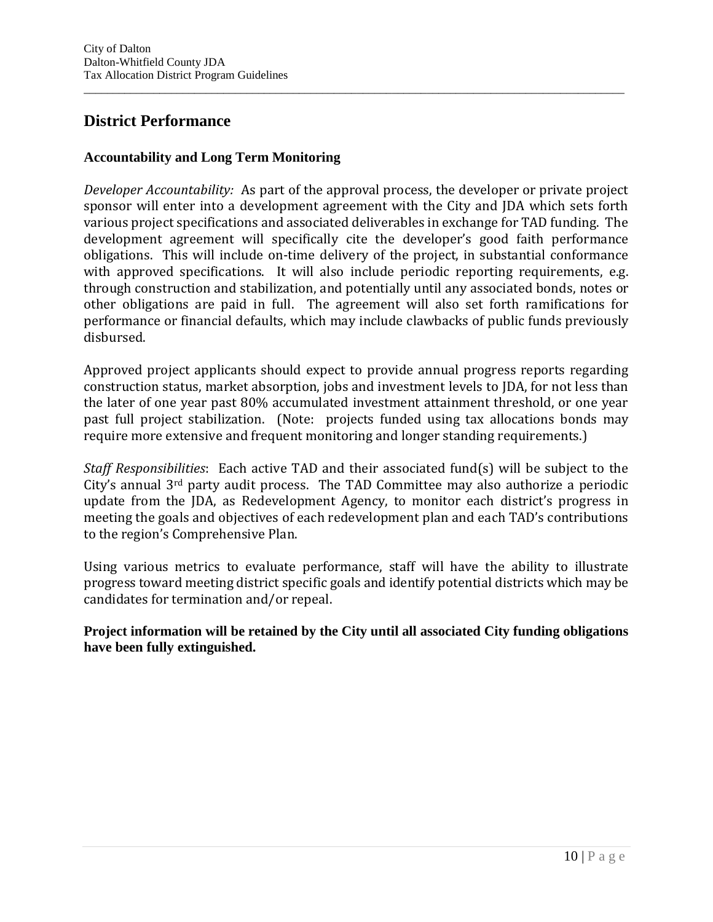# **District Performance**

### **Accountability and Long Term Monitoring**

*Developer Accountability:* As part of the approval process, the developer or private project sponsor will enter into a development agreement with the City and JDA which sets forth various project specifications and associated deliverables in exchange for TAD funding. The development agreement will specifically cite the developer's good faith performance obligations. This will include on-time delivery of the project, in substantial conformance with approved specifications. It will also include periodic reporting requirements, e.g. through construction and stabilization, and potentially until any associated bonds, notes or other obligations are paid in full. The agreement will also set forth ramifications for performance or financial defaults, which may include clawbacks of public funds previously disbursed.

 $\overline{a}$  , and the state of the state of the state of the state of the state of the state of the state of the state of the state of the state of the state of the state of the state of the state of the state of the state o

Approved project applicants should expect to provide annual progress reports regarding construction status, market absorption, jobs and investment levels to JDA, for not less than the later of one year past 80% accumulated investment attainment threshold, or one year past full project stabilization. (Note: projects funded using tax allocations bonds may require more extensive and frequent monitoring and longer standing requirements.)

*Staff Responsibilities*: Each active TAD and their associated fund(s) will be subject to the City's annual 3rd party audit process. The TAD Committee may also authorize a periodic update from the JDA, as Redevelopment Agency, to monitor each district's progress in meeting the goals and objectives of each redevelopment plan and each TAD's contributions to the region's Comprehensive Plan.

Using various metrics to evaluate performance, staff will have the ability to illustrate progress toward meeting district specific goals and identify potential districts which may be candidates for termination and/or repeal.

**Project information will be retained by the City until all associated City funding obligations have been fully extinguished.**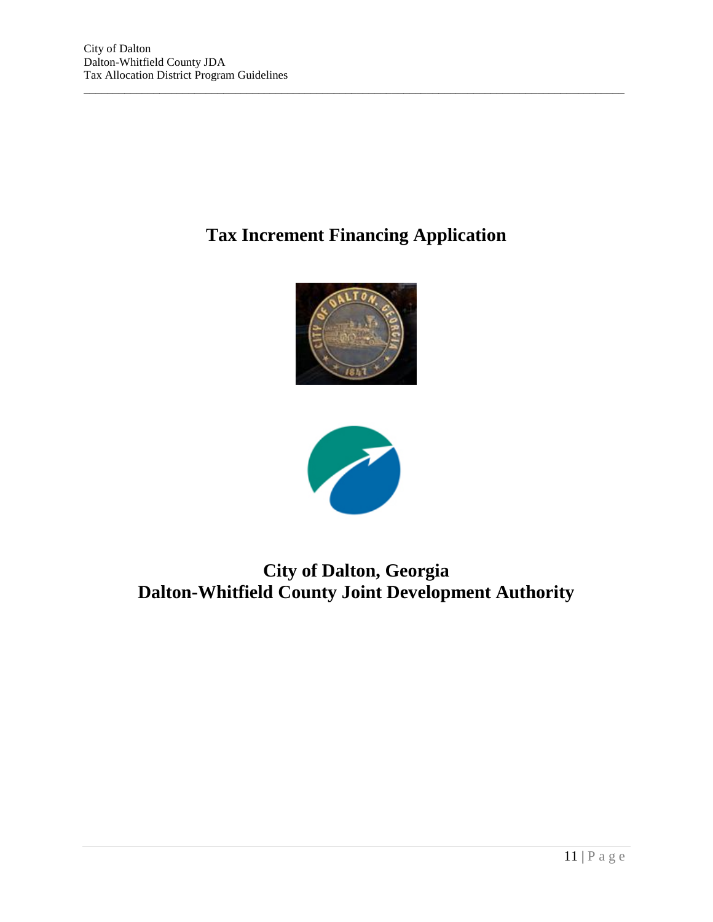# **Tax Increment Financing Application**

 $\overline{a}$  , and the state of the state of the state of the state of the state of the state of the state of the state of the state of the state of the state of the state of the state of the state of the state of the state o





# **City of Dalton, Georgia Dalton-Whitfield County Joint Development Authority**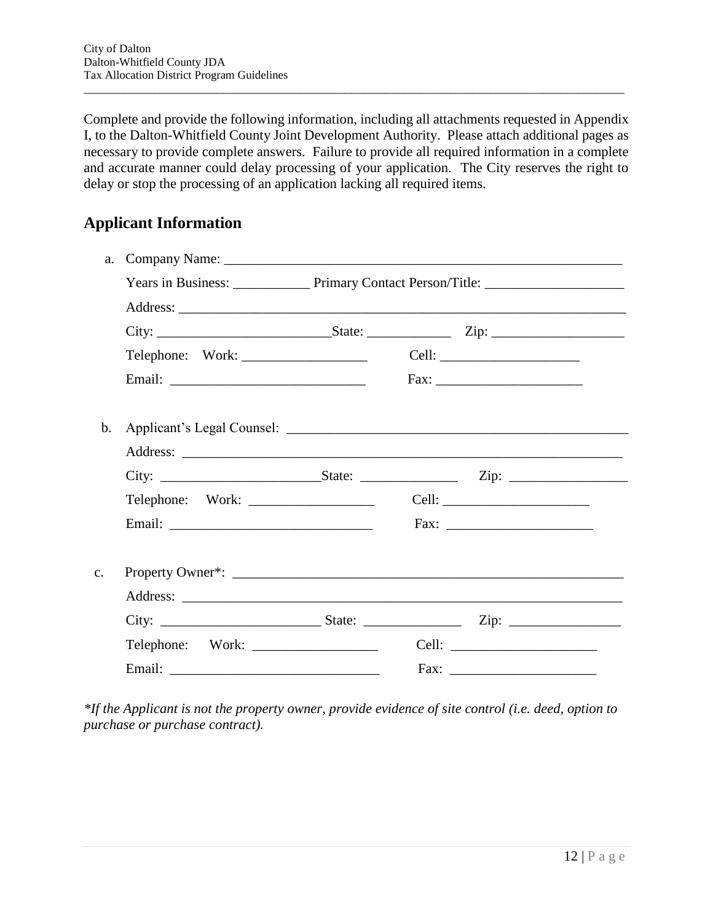Complete and provide the following information, including all attachments requested in Appendix I, to the Dalton-Whitfield County Joint Development Authority. Please attach additional pages as necessary to provide complete answers. Failure to provide all required information in a complete and accurate manner could delay processing of your application. The City reserves the right to delay or stop the processing of an application lacking all required items.

 $\overline{a}$  , and the state of the state of the state of the state of the state of the state of the state of the state of the state of the state of the state of the state of the state of the state of the state of the state o

# **Applicant Information**

| a.             |  |  |  |  |  |
|----------------|--|--|--|--|--|
|                |  |  |  |  |  |
|                |  |  |  |  |  |
|                |  |  |  |  |  |
|                |  |  |  |  |  |
|                |  |  |  |  |  |
| $\mathbf b$ .  |  |  |  |  |  |
|                |  |  |  |  |  |
|                |  |  |  |  |  |
|                |  |  |  |  |  |
|                |  |  |  |  |  |
| $\mathbf{c}$ . |  |  |  |  |  |
|                |  |  |  |  |  |
|                |  |  |  |  |  |
|                |  |  |  |  |  |
|                |  |  |  |  |  |

*\*If the Applicant is not the property owner, provide evidence of site control (i.e. deed, option to purchase or purchase contract).*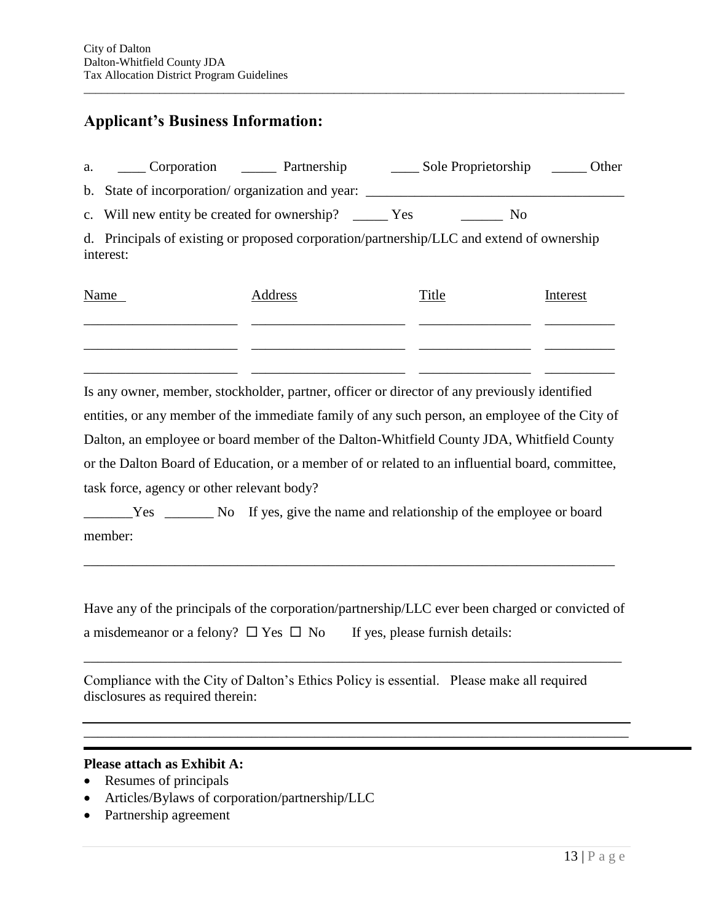## **Applicant's Business Information:**

| a. | Corporation Partnership                                                                                | Sole Proprietorship | Other |
|----|--------------------------------------------------------------------------------------------------------|---------------------|-------|
|    | b. State of incorporation/organization and year:                                                       |                     |       |
|    | c. Will new entity be created for ownership? _________ Yes                                             | N <sub>0</sub>      |       |
|    | d. Principals of existing or proposed corporation/partnership/LLC and extend of ownership<br>interest: |                     |       |

 $\overline{a}$  , and the state of the state of the state of the state of the state of the state of the state of the state of the state of the state of the state of the state of the state of the state of the state of the state o

| Name | Address | Title | Interest |
|------|---------|-------|----------|
|      |         |       |          |
|      |         |       |          |
|      |         |       |          |

Is any owner, member, stockholder, partner, officer or director of any previously identified entities, or any member of the immediate family of any such person, an employee of the City of Dalton, an employee or board member of the Dalton-Whitfield County JDA, Whitfield County or the Dalton Board of Education, or a member of or related to an influential board, committee, task force, agency or other relevant body?

\_\_\_\_\_\_\_Yes \_\_\_\_\_\_\_ No If yes, give the name and relationship of the employee or board member:

\_\_\_\_\_\_\_\_\_\_\_\_\_\_\_\_\_\_\_\_\_\_\_\_\_\_\_\_\_\_\_\_\_\_\_\_\_\_\_\_\_\_\_\_\_\_\_\_\_\_\_\_\_\_\_\_\_\_\_\_\_\_\_\_\_\_\_\_\_\_\_\_\_\_\_\_

Have any of the principals of the corporation/partnership/LLC ever been charged or convicted of a misdemeanor or a felony?  $\Box$  Yes  $\Box$  No If yes, please furnish details:

\_\_\_\_\_\_\_\_\_\_\_\_\_\_\_\_\_\_\_\_\_\_\_\_\_\_\_\_\_\_\_\_\_\_\_\_\_\_\_\_\_\_\_\_\_\_\_\_\_\_\_\_\_\_\_\_\_\_\_\_\_\_\_\_\_\_\_\_\_\_\_\_\_\_\_\_\_

\_\_\_\_\_\_\_\_\_\_\_\_\_\_\_\_\_\_\_\_\_\_\_\_\_\_\_\_\_\_\_\_\_\_\_\_\_\_\_\_\_\_\_\_\_\_\_\_\_\_\_\_\_\_\_\_\_\_\_\_\_\_\_\_\_\_\_\_\_\_\_\_\_\_\_\_\_\_

Compliance with the City of Dalton's Ethics Policy is essential. Please make all required disclosures as required therein:

#### **Please attach as Exhibit A:**

- Resumes of principals
- Articles/Bylaws of corporation/partnership/LLC
- Partnership agreement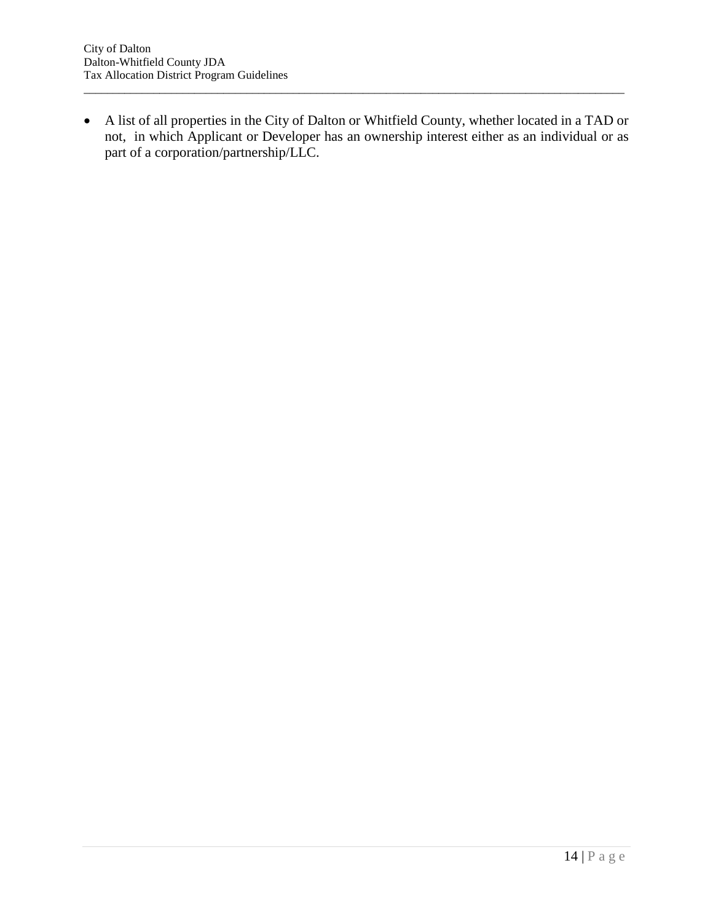A list of all properties in the City of Dalton or Whitfield County, whether located in a TAD or not, in which Applicant or Developer has an ownership interest either as an individual or as part of a corporation/partnership/LLC.

 $\overline{a}$  , and the state of the state of the state of the state of the state of the state of the state of the state of the state of the state of the state of the state of the state of the state of the state of the state o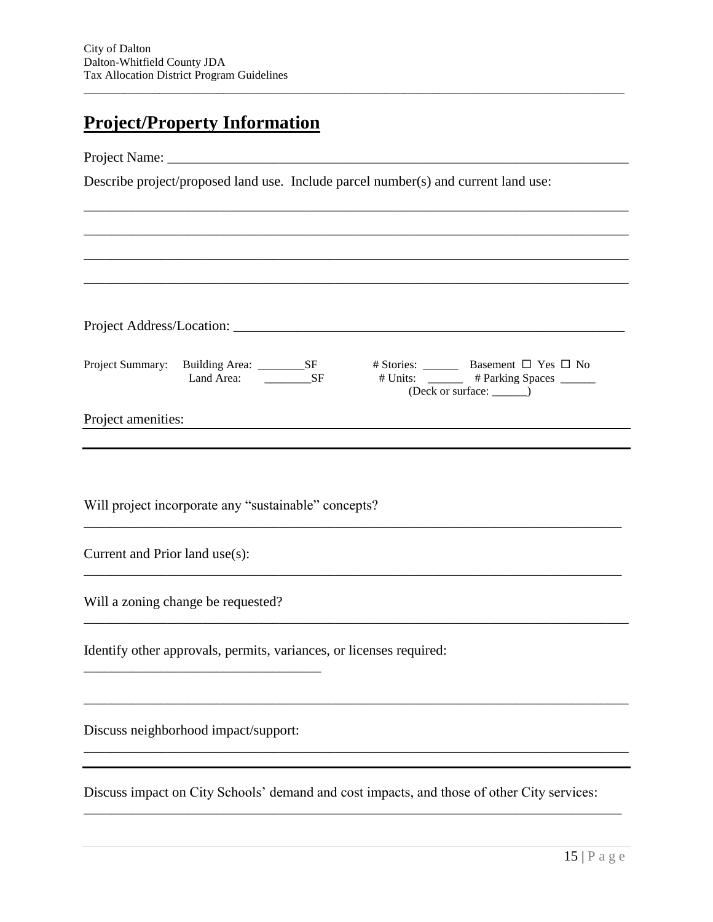# **Project/Property Information**

Project Name:

Describe project/proposed land use. Include parcel number(s) and current land use:

Project Address/Location: \_\_\_\_\_\_\_\_\_\_\_\_\_\_\_\_\_\_\_\_\_\_\_\_\_\_\_\_\_\_\_\_\_\_\_\_\_\_\_\_\_\_\_\_\_\_\_\_\_\_\_\_\_\_\_\_ Project Summary: Building Area: \_\_\_\_\_\_\_\_\_\_SF # Stories: \_\_\_\_\_\_\_\_ Basement  $\Box$  Yes  $\Box$  No Land Area: \_\_\_\_\_\_\_\_SF # Units: \_\_\_\_\_\_ # Parking Spaces \_\_\_\_\_\_ (Deck or surface: \_\_\_\_\_\_)

\_\_\_\_\_\_\_\_\_\_\_\_\_\_\_\_\_\_\_\_\_\_\_\_\_\_\_\_\_\_\_\_\_\_\_\_\_\_\_\_\_\_\_\_\_\_\_\_\_\_\_\_\_\_\_\_\_\_\_\_\_\_\_\_\_\_\_\_\_\_\_\_\_\_\_\_\_

\_\_\_\_\_\_\_\_\_\_\_\_\_\_\_\_\_\_\_\_\_\_\_\_\_\_\_\_\_\_\_\_\_\_\_\_\_\_\_\_\_\_\_\_\_\_\_\_\_\_\_\_\_\_\_\_\_\_\_\_\_\_\_\_\_\_\_\_\_\_\_\_\_\_\_\_\_\_

 $\overline{a}$  , and the state of the state of the state of the state of the state of the state of the state of the state of the state of the state of the state of the state of the state of the state of the state of the state o

\_\_\_\_\_\_\_\_\_\_\_\_\_\_\_\_\_\_\_\_\_\_\_\_\_\_\_\_\_\_\_\_\_\_\_\_\_\_\_\_\_\_\_\_\_\_\_\_\_\_\_\_\_\_\_\_\_\_\_\_\_\_\_\_\_\_\_\_\_\_\_\_\_\_\_\_\_\_

\_\_\_\_\_\_\_\_\_\_\_\_\_\_\_\_\_\_\_\_\_\_\_\_\_\_\_\_\_\_\_\_\_\_\_\_\_\_\_\_\_\_\_\_\_\_\_\_\_\_\_\_\_\_\_\_\_\_\_\_\_\_\_\_\_\_\_\_\_\_\_\_\_\_\_\_\_\_

\_\_\_\_\_\_\_\_\_\_\_\_\_\_\_\_\_\_\_\_\_\_\_\_\_\_\_\_\_\_\_\_\_\_\_\_\_\_\_\_\_\_\_\_\_\_\_\_\_\_\_\_\_\_\_\_\_\_\_\_\_\_\_\_\_\_\_\_\_\_\_\_\_\_\_\_\_\_

\_\_\_\_\_\_\_\_\_\_\_\_\_\_\_\_\_\_\_\_\_\_\_\_\_\_\_\_\_\_\_\_\_\_\_\_\_\_\_\_\_\_\_\_\_\_\_\_\_\_\_\_\_\_\_\_\_\_\_\_\_\_\_\_\_\_\_\_\_\_\_\_\_\_\_\_\_\_

Project amenities:

Will project incorporate any "sustainable" concepts?

Current and Prior land use(s):

Will a zoning change be requested?

Identify other approvals, permits, variances, or licenses required:

Discuss neighborhood impact/support:

\_\_\_\_\_\_\_\_\_\_\_\_\_\_\_\_\_\_\_\_\_\_\_\_\_\_\_\_\_\_\_\_\_\_

Discuss impact on City Schools' demand and cost impacts, and those of other City services:

\_\_\_\_\_\_\_\_\_\_\_\_\_\_\_\_\_\_\_\_\_\_\_\_\_\_\_\_\_\_\_\_\_\_\_\_\_\_\_\_\_\_\_\_\_\_\_\_\_\_\_\_\_\_\_\_\_\_\_\_\_\_\_\_\_\_\_\_\_\_\_\_\_\_\_\_\_

\_\_\_\_\_\_\_\_\_\_\_\_\_\_\_\_\_\_\_\_\_\_\_\_\_\_\_\_\_\_\_\_\_\_\_\_\_\_\_\_\_\_\_\_\_\_\_\_\_\_\_\_\_\_\_\_\_\_\_\_\_\_\_\_\_\_\_\_\_\_\_\_\_\_\_\_\_\_

\_\_\_\_\_\_\_\_\_\_\_\_\_\_\_\_\_\_\_\_\_\_\_\_\_\_\_\_\_\_\_\_\_\_\_\_\_\_\_\_\_\_\_\_\_\_\_\_\_\_\_\_\_\_\_\_\_\_\_\_\_\_\_\_\_\_\_\_\_\_\_\_\_\_\_\_\_\_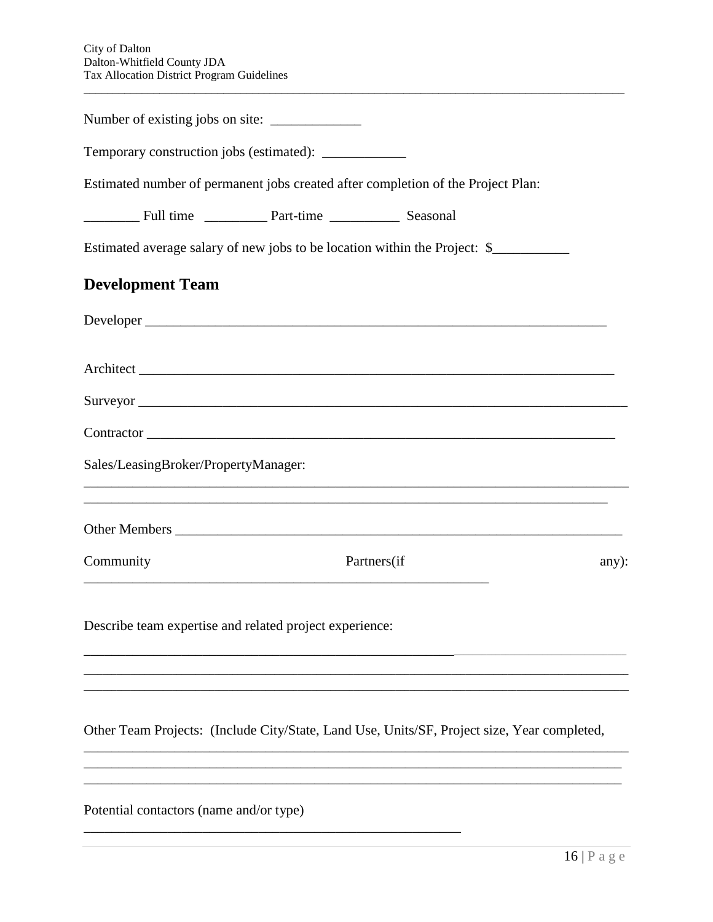| Temporary construction jobs (estimated): ___________    |                                                                                             |       |
|---------------------------------------------------------|---------------------------------------------------------------------------------------------|-------|
|                                                         | Estimated number of permanent jobs created after completion of the Project Plan:            |       |
|                                                         |                                                                                             |       |
|                                                         | Estimated average salary of new jobs to be location within the Project: \$                  |       |
| <b>Development Team</b>                                 |                                                                                             |       |
| Developer                                               |                                                                                             |       |
|                                                         |                                                                                             |       |
|                                                         |                                                                                             |       |
|                                                         | Contractor                                                                                  |       |
| Sales/LeasingBroker/PropertyManager:                    |                                                                                             |       |
|                                                         | ,我们也不能在这里的时候,我们也不能在这里的时候,我们也不能不能不能不能不能不能不能不能不能不能不能不能不能不能不能。""我们的是我们的,我们也不能不能不能不能            |       |
| Community                                               | Partners(if                                                                                 | any): |
| Describe team expertise and related project experience: |                                                                                             |       |
|                                                         |                                                                                             |       |
|                                                         | Other Team Projects: (Include City/State, Land Use, Units/SF, Project size, Year completed, |       |
|                                                         |                                                                                             |       |
|                                                         |                                                                                             |       |

Potential contactors (name and/or type)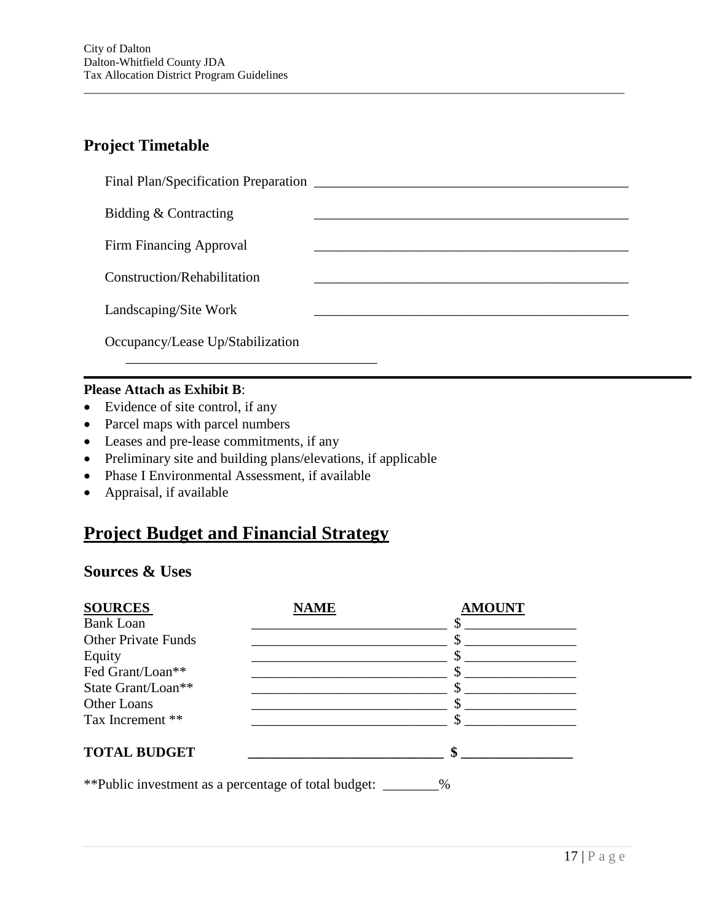# **Project Timetable**

| Final Plan/Specification Preparation |  |
|--------------------------------------|--|
| Bidding & Contracting                |  |
| Firm Financing Approval              |  |
| Construction/Rehabilitation          |  |
| Landscaping/Site Work                |  |
| Occupancy/Lease Up/Stabilization     |  |

 $\overline{a}$  , and the state of the state of the state of the state of the state of the state of the state of the state of the state of the state of the state of the state of the state of the state of the state of the state o

#### **Please Attach as Exhibit B**:

- Evidence of site control, if any
- Parcel maps with parcel numbers
- Leases and pre-lease commitments, if any
- Preliminary site and building plans/elevations, if applicable
- Phase I Environmental Assessment, if available
- Appraisal, if available

# **Project Budget and Financial Strategy**

## **Sources & Uses**

| <b>SOURCES</b>                                       | <b>NAME</b> | <b>AMOUNT</b> |
|------------------------------------------------------|-------------|---------------|
| <b>Bank Loan</b>                                     |             |               |
| <b>Other Private Funds</b>                           |             |               |
| Equity                                               |             |               |
| Fed Grant/Loan**                                     |             |               |
| State Grant/Loan**                                   |             |               |
| Other Loans                                          |             |               |
| Tax Increment **                                     |             | ፍ             |
| <b>TOTAL BUDGET</b>                                  |             | \$            |
| **Public investment as a percentage of total budget: |             | %             |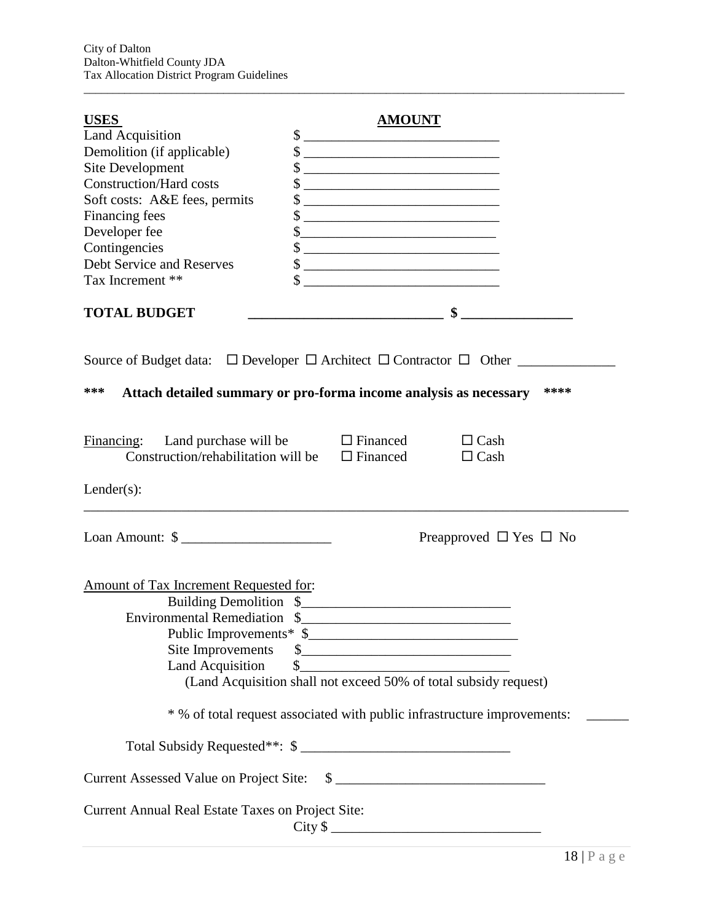| <b>USES</b>                                                                                | <b>AMOUNT</b>                                                             |
|--------------------------------------------------------------------------------------------|---------------------------------------------------------------------------|
| <b>Land Acquisition</b>                                                                    | $\sim$                                                                    |
| Demolition (if applicable)                                                                 | $\frac{1}{2}$                                                             |
| <b>Site Development</b>                                                                    | $\frac{\text{S}}{\text{S}}$                                               |
| <b>Construction/Hard costs</b>                                                             |                                                                           |
| Soft costs: A&E fees, permits                                                              | $\frac{\text{S}}{\text{S}}$                                               |
| Financing fees                                                                             | $\frac{1}{2}$                                                             |
| Developer fee                                                                              | $\frac{1}{2}$                                                             |
| Contingencies                                                                              | $\frac{1}{2}$                                                             |
| <b>Debt Service and Reserves</b>                                                           | $\frac{1}{2}$                                                             |
| Tax Increment **                                                                           |                                                                           |
| <b>TOTAL BUDGET</b>                                                                        |                                                                           |
|                                                                                            |                                                                           |
| ***                                                                                        | ****<br>Attach detailed summary or pro-forma income analysis as necessary |
| Land purchase will be<br>Financing:<br>Construction/rehabilitation will be $\Box$ Financed | $\Box$ Financed<br>$\Box$ Cash<br>$\Box$ Cash                             |
| $Lender(s)$ :                                                                              |                                                                           |
| Loan Amount: $\frac{1}{2}$                                                                 | Preapproved $\Box$ Yes $\Box$ No                                          |
| Amount of Tax Increment Requested for:<br><b>Land Acquisition</b>                          | (Land Acquisition shall not exceed 50% of total subsidy request)          |
|                                                                                            | * % of total request associated with public infrastructure improvements:  |
|                                                                                            | Total Subsidy Requested**: \$                                             |
|                                                                                            | Current Assessed Value on Project Site: \$                                |
| Current Annual Real Estate Taxes on Project Site:                                          |                                                                           |

 $\overline{a}$  , and the state of the state of the state of the state of the state of the state of the state of the state of the state of the state of the state of the state of the state of the state of the state of the state o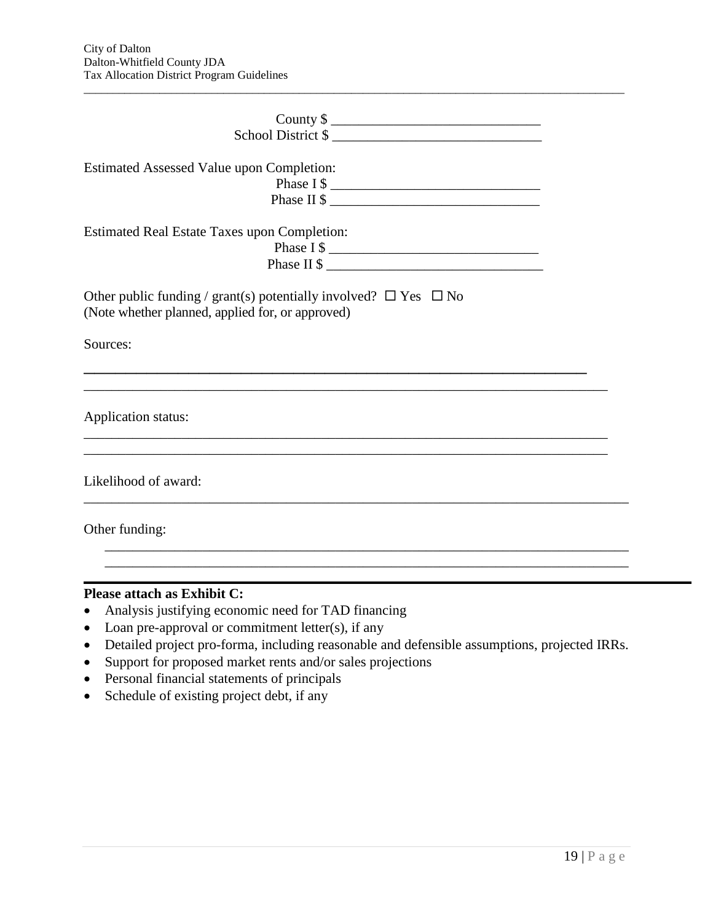| School District \$                                                                                                             |  |
|--------------------------------------------------------------------------------------------------------------------------------|--|
| <b>Estimated Assessed Value upon Completion:</b><br>Phase I \$<br>Phase II \$                                                  |  |
| <b>Estimated Real Estate Taxes upon Completion:</b><br>Phase II \$                                                             |  |
| Other public funding / grant(s) potentially involved? $\Box$ Yes $\Box$ No<br>(Note whether planned, applied for, or approved) |  |
| Sources:                                                                                                                       |  |
| Application status:                                                                                                            |  |
| Likelihood of award:                                                                                                           |  |
| Other funding:                                                                                                                 |  |
|                                                                                                                                |  |

 $\overline{a}$  , and the state of the state of the state of the state of the state of the state of the state of the state of the state of the state of the state of the state of the state of the state of the state of the state o

#### **Please attach as Exhibit C:**

- Analysis justifying economic need for TAD financing
- $\bullet$  Loan pre-approval or commitment letter(s), if any
- Detailed project pro-forma, including reasonable and defensible assumptions, projected IRRs.
- Support for proposed market rents and/or sales projections
- Personal financial statements of principals
- Schedule of existing project debt, if any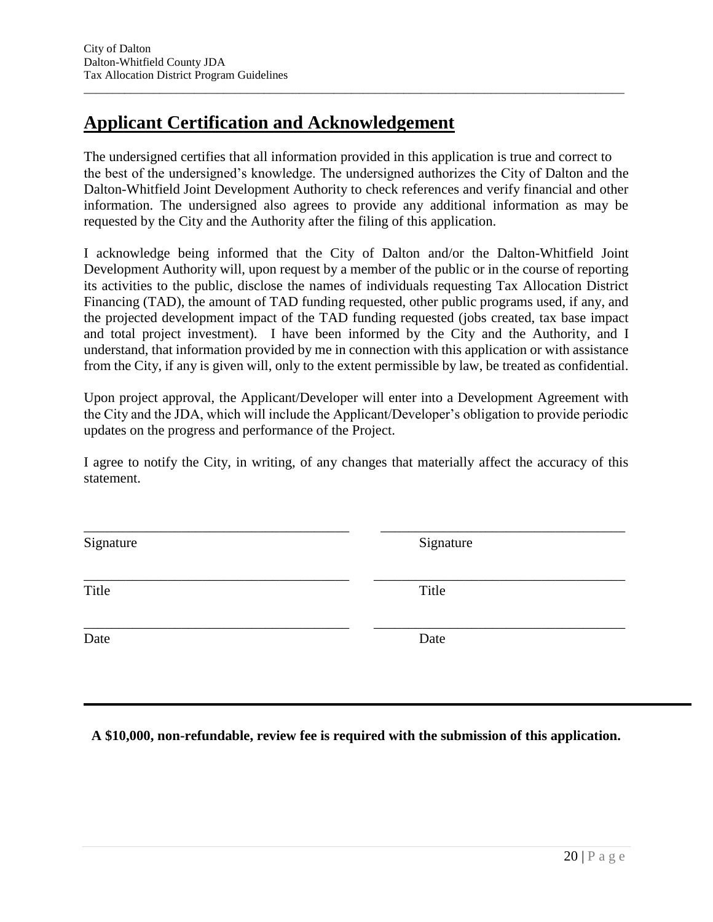# **Applicant Certification and Acknowledgement**

The undersigned certifies that all information provided in this application is true and correct to the best of the undersigned's knowledge. The undersigned authorizes the City of Dalton and the Dalton-Whitfield Joint Development Authority to check references and verify financial and other information. The undersigned also agrees to provide any additional information as may be requested by the City and the Authority after the filing of this application.

 $\overline{a}$  , and the state of the state of the state of the state of the state of the state of the state of the state of the state of the state of the state of the state of the state of the state of the state of the state o

I acknowledge being informed that the City of Dalton and/or the Dalton-Whitfield Joint Development Authority will, upon request by a member of the public or in the course of reporting its activities to the public, disclose the names of individuals requesting Tax Allocation District Financing (TAD), the amount of TAD funding requested, other public programs used, if any, and the projected development impact of the TAD funding requested (jobs created, tax base impact and total project investment). I have been informed by the City and the Authority, and I understand, that information provided by me in connection with this application or with assistance from the City, if any is given will, only to the extent permissible by law, be treated as confidential.

Upon project approval, the Applicant/Developer will enter into a Development Agreement with the City and the JDA, which will include the Applicant/Developer's obligation to provide periodic updates on the progress and performance of the Project.

I agree to notify the City, in writing, of any changes that materially affect the accuracy of this statement.

\_\_\_\_\_\_\_\_\_\_\_\_\_\_\_\_\_\_\_\_\_\_\_\_\_\_\_\_\_\_\_\_\_\_\_\_\_\_ \_\_\_\_\_\_\_\_\_\_\_\_\_\_\_\_\_\_\_\_\_\_\_\_\_\_\_\_\_\_\_\_\_\_\_

Signature Signature Signature Signature Signature Signature Signature Signature Signature Signature Signature Signature Signature Signature Signature Signature Signature Signature Signature Signature Signature Signature Si

\_\_\_\_\_\_\_\_\_\_\_\_\_\_\_\_\_\_\_\_\_\_\_\_\_\_\_\_\_\_\_\_\_\_\_\_\_\_ \_\_\_\_\_\_\_\_\_\_\_\_\_\_\_\_\_\_\_\_\_\_\_\_\_\_\_\_\_\_\_\_\_\_\_\_ Title Title

\_\_\_\_\_\_\_\_\_\_\_\_\_\_\_\_\_\_\_\_\_\_\_\_\_\_\_\_\_\_\_\_\_\_\_\_\_\_ \_\_\_\_\_\_\_\_\_\_\_\_\_\_\_\_\_\_\_\_\_\_\_\_\_\_\_\_\_\_\_\_\_\_\_\_ Date Date Date

**A \$10,000, non-refundable, review fee is required with the submission of this application.**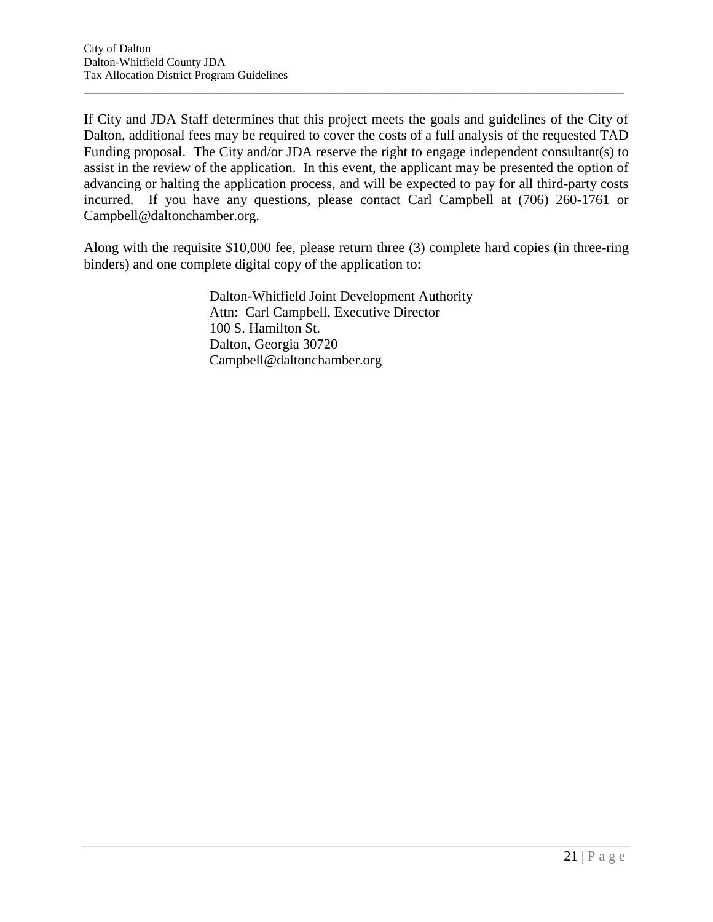If City and JDA Staff determines that this project meets the goals and guidelines of the City of Dalton, additional fees may be required to cover the costs of a full analysis of the requested TAD Funding proposal. The City and/or JDA reserve the right to engage independent consultant(s) to assist in the review of the application. In this event, the applicant may be presented the option of advancing or halting the application process, and will be expected to pay for all third-party costs incurred. If you have any questions, please contact Carl Campbell at (706) 260-1761 or Campbell@daltonchamber.org.

 $\overline{a}$  , and the state of the state of the state of the state of the state of the state of the state of the state of the state of the state of the state of the state of the state of the state of the state of the state o

Along with the requisite \$10,000 fee, please return three (3) complete hard copies (in three-ring binders) and one complete digital copy of the application to:

> Dalton-Whitfield Joint Development Authority Attn: Carl Campbell, Executive Director 100 S. Hamilton St. Dalton, Georgia 30720 Campbell@daltonchamber.org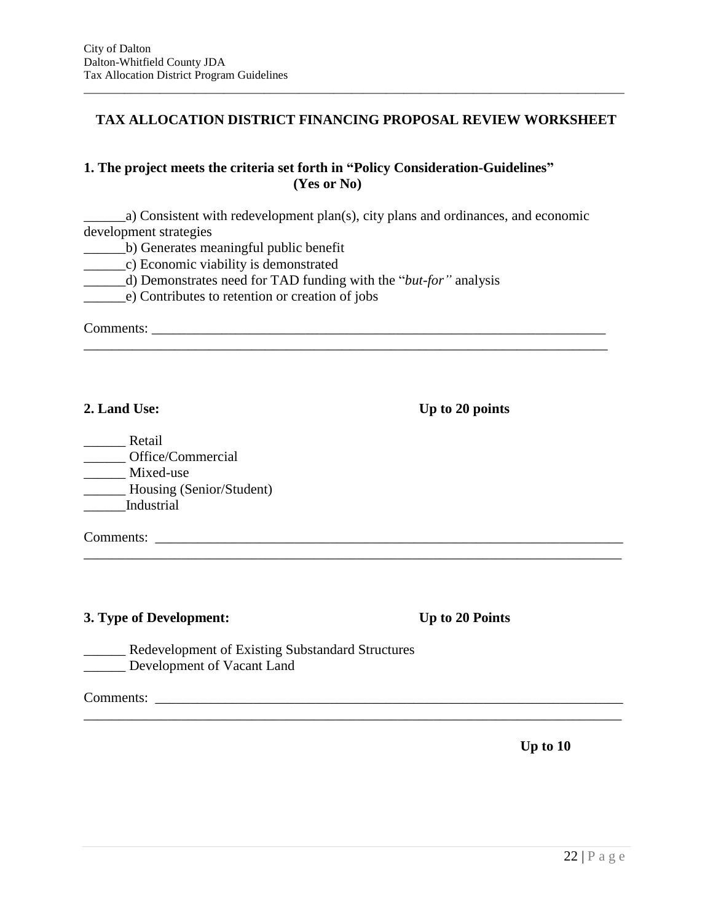#### **TAX ALLOCATION DISTRICT FINANCING PROPOSAL REVIEW WORKSHEET**

 $\overline{a}$  , and the state of the state of the state of the state of the state of the state of the state of the state of the state of the state of the state of the state of the state of the state of the state of the state o

#### **1. The project meets the criteria set forth in "Policy Consideration-Guidelines" (Yes or No)**

\_\_\_\_\_\_a) Consistent with redevelopment plan(s), city plans and ordinances, and economic development strategies

\_\_\_\_\_\_\_\_\_\_\_\_\_\_\_\_\_\_\_\_\_\_\_\_\_\_\_\_\_\_\_\_\_\_\_\_\_\_\_\_\_\_\_\_\_\_\_\_\_\_\_\_\_\_\_\_\_\_\_\_\_\_\_\_\_\_\_\_\_\_\_\_\_\_\_

\_\_\_\_\_\_\_\_\_\_\_\_\_\_\_\_\_\_\_\_\_\_\_\_\_\_\_\_\_\_\_\_\_\_\_\_\_\_\_\_\_\_\_\_\_\_\_\_\_\_\_\_\_\_\_\_\_\_\_\_\_\_\_\_\_\_\_\_\_\_\_\_\_\_\_\_\_

\_\_\_\_\_\_\_\_\_\_\_\_\_\_\_\_\_\_\_\_\_\_\_\_\_\_\_\_\_\_\_\_\_\_\_\_\_\_\_\_\_\_\_\_\_\_\_\_\_\_\_\_\_\_\_\_\_\_\_\_\_\_\_\_\_\_\_\_\_\_\_\_\_\_\_\_\_

\_\_\_\_\_\_b) Generates meaningful public benefit

\_\_\_\_\_\_c) Economic viability is demonstrated

\_\_\_\_\_\_d) Demonstrates need for TAD funding with the "*but-for"* analysis

\_\_\_\_\_\_e) Contributes to retention or creation of jobs

Comments: \_\_\_\_\_\_\_\_\_\_\_\_\_\_\_\_\_\_\_\_\_\_\_\_\_\_\_\_\_\_\_\_\_\_\_\_\_\_\_\_\_\_\_\_\_\_\_\_\_\_\_\_\_\_\_\_\_\_\_\_\_\_\_\_\_

**2. Land Use: Up to 20 points** 

\_\_\_\_\_\_ Retail \_\_\_\_\_\_ Office/Commercial \_\_\_\_\_\_ Mixed-use \_\_\_\_\_\_ Housing (Senior/Student) \_\_\_\_\_\_Industrial

Comments: \_\_\_\_\_\_\_\_\_\_\_\_\_\_\_\_\_\_\_\_\_\_\_\_\_\_\_\_\_\_\_\_\_\_\_\_\_\_\_\_\_\_\_\_\_\_\_\_\_\_\_\_\_\_\_\_\_\_\_\_\_\_\_\_\_\_\_

#### **3. Type of Development: Up to 20 Points**

\_\_\_\_\_\_ Redevelopment of Existing Substandard Structures \_\_\_\_\_\_ Development of Vacant Land

Comments: \_\_\_\_\_\_\_\_\_\_\_\_\_\_\_\_\_\_\_\_\_\_\_\_\_\_\_\_\_\_\_\_\_\_\_\_\_\_\_\_\_\_\_\_\_\_\_\_\_\_\_\_\_\_\_\_\_\_\_\_\_\_\_\_\_\_\_

**Up to 10**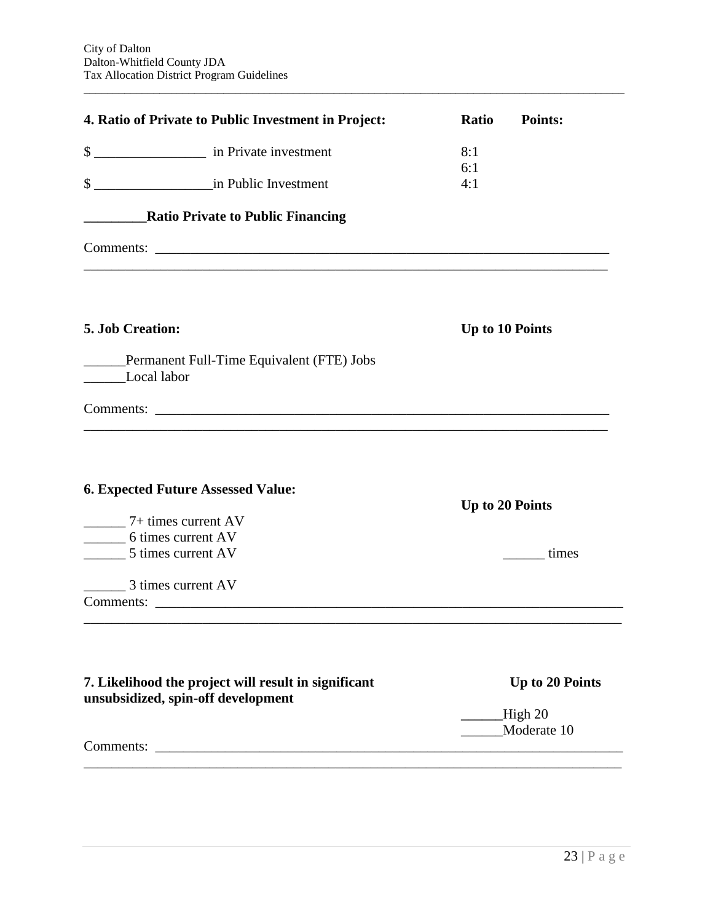|                                          | 4. Ratio of Private to Public Investment in Project:                                       | <b>Ratio</b>           | <b>Points:</b>  |
|------------------------------------------|--------------------------------------------------------------------------------------------|------------------------|-----------------|
|                                          | \$                                                                                         | 8:1                    |                 |
| \$                                       | in Public Investment                                                                       | 6:1<br>4:1             |                 |
|                                          | <b>EXAMPLE PRACE CONSUMED Ratio Private to Public Financing</b>                            |                        |                 |
|                                          | ,我们也不能在这里的时候,我们也不能在这里的时候,我们也不能会在这里的时候,我们也不能会在这里的时候,我们也不能会在这里的时候,我们也不能会在这里的时候,我们也不          |                        |                 |
| 5. Job Creation:                         |                                                                                            | <b>Up to 10 Points</b> |                 |
| Local labor                              | _____Permanent Full-Time Equivalent (FTE) Jobs                                             |                        |                 |
|                                          |                                                                                            |                        |                 |
| $\frac{1}{7}$ + times current AV         | <b>6. Expected Future Assessed Value:</b>                                                  | Up to 20 Points        |                 |
| 6 times current AV<br>5 times current AV |                                                                                            |                        | times           |
| 3 times current AV                       |                                                                                            |                        |                 |
|                                          |                                                                                            |                        |                 |
|                                          | 7. Likelihood the project will result in significant<br>unsubsidized, spin-off development |                        | Up to 20 Points |
|                                          |                                                                                            | $\_\$ High 20          | Moderate 10     |
|                                          | Comments:                                                                                  |                        |                 |
|                                          |                                                                                            |                        |                 |

 $\overline{a}$  , and the state of the state of the state of the state of the state of the state of the state of the state of the state of the state of the state of the state of the state of the state of the state of the state o